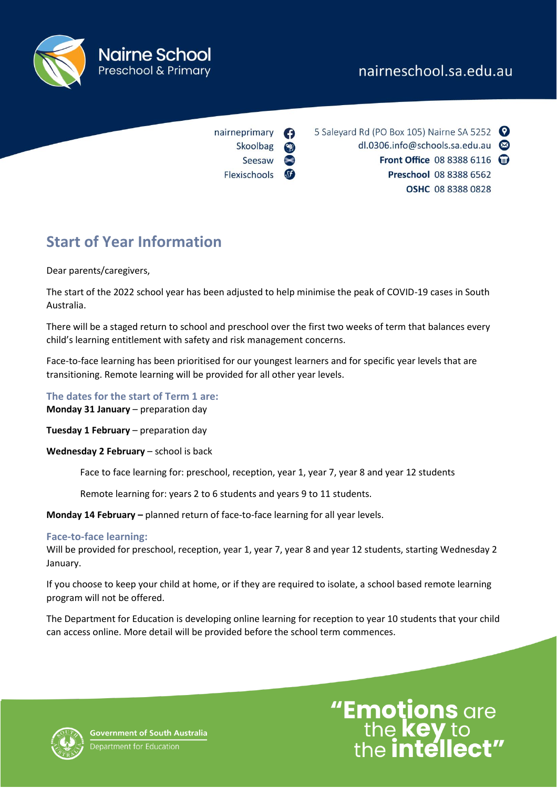# nairneschool.sa.edu.au



nairneprimary Skoolbag Seesaw Flexischools 5 Saleyard Rd (PO Box 105) Nairne SA 5252 dl.0306.info@schools.sa.edu.au Front Office 08 8388 6116 @ Preschool 08 8388 6562 **OSHC 08 8388 0828** 

# **Start of Year Information**

Dear parents/caregivers,

The start of the 2022 school year has been adjusted to help minimise the peak of COVID-19 cases in South Australia.

There will be a staged return to school and preschool over the first two weeks of term that balances every child's learning entitlement with safety and risk management concerns.

Face-to-face learning has been prioritised for our youngest learners and for specific year levels that are transitioning. Remote learning will be provided for all other year levels.

#### **The dates for the start of Term 1 are: Monday 31 January** – preparation day

**Tuesday 1 February** – preparation day

**Wednesday 2 February** – school is back

Face to face learning for: preschool, reception, year 1, year 7, year 8 and year 12 students

Remote learning for: years 2 to 6 students and years 9 to 11 students.

**Monday 14 February –** planned return of face-to-face learning for all year levels.

## **Face-to-face learning:**

Will be provided for preschool, reception, year 1, year 7, year 8 and year 12 students, starting Wednesday 2 January.

If you choose to keep your child at home, or if they are required to isolate, a school based remote learning program will not be offered.

The Department for Education is developing online learning for reception to year 10 students that your child can access online. More detail will be provided before the school term commences.